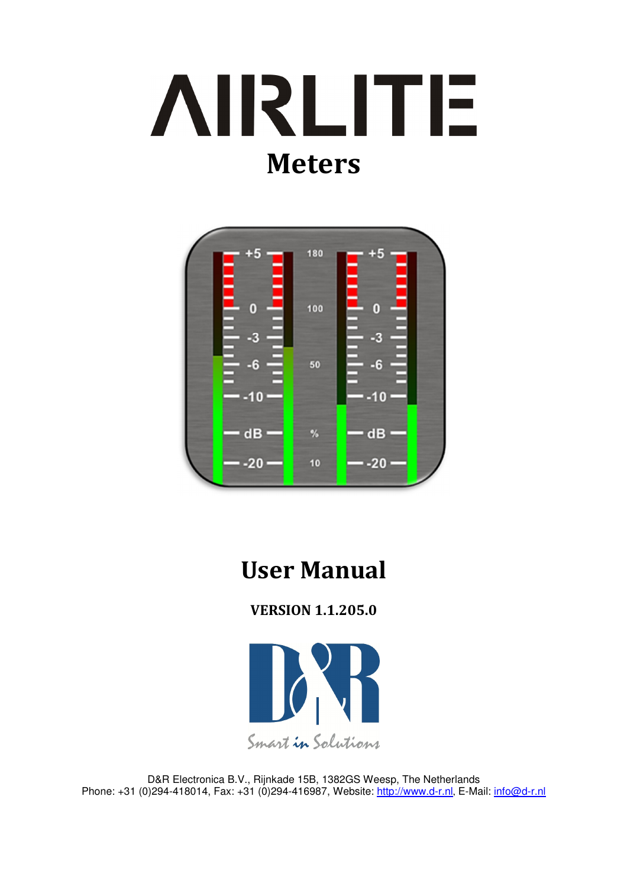



# User Manual

VERSION 1.1.205.0



D&R Electronica B.V., Rijnkade 15B, 1382GS Weesp, The Netherlands Phone: +31 (0)294-418014, Fax: +31 (0)294-416987, Website: http://www.d-r.nl, E-Mail: info@d-r.nl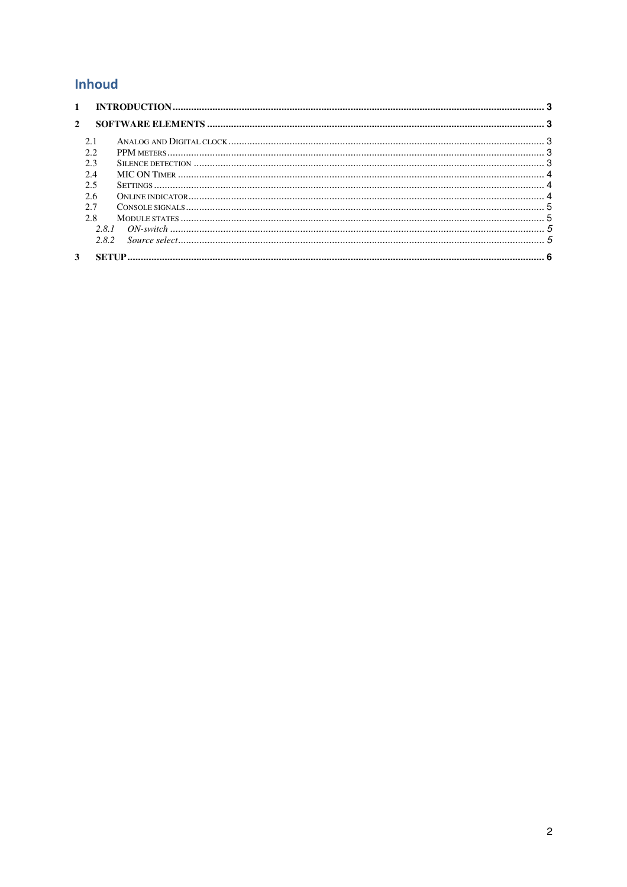## Inhoud

| $1 \quad$    |       |  |
|--------------|-------|--|
| $\mathbf{2}$ |       |  |
|              | 2.1   |  |
|              | 22    |  |
|              | 2.3   |  |
|              | 2.4   |  |
|              | 2.5   |  |
|              | 2.6   |  |
|              | 2.7   |  |
|              | 2.8   |  |
|              | 2.8.1 |  |
|              | 2.8.2 |  |
| 3            |       |  |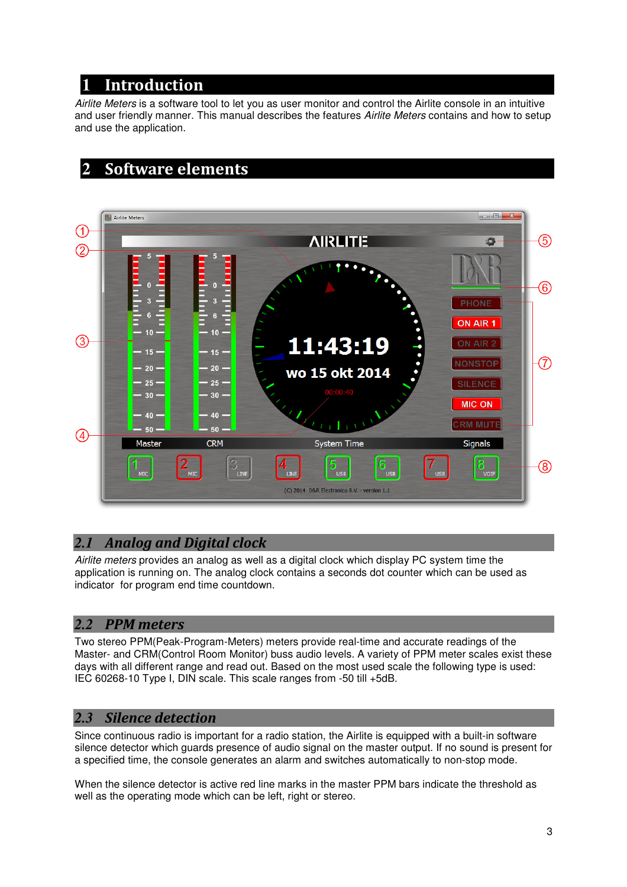# **1** Introduction

Airlite Meters is a software tool to let you as user monitor and control the Airlite console in an intuitive and user friendly manner. This manual describes the features Airlite Meters contains and how to setup and use the application.

# **2** Software elements



## *2.1* Analog and Digital clock

Airlite meters provides an analog as well as a digital clock which display PC system time the application is running on. The analog clock contains a seconds dot counter which can be used as indicator for program end time countdown.

### *2.2* PPM meters

Two stereo PPM(Peak-Program-Meters) meters provide real-time and accurate readings of the Master- and CRM(Control Room Monitor) buss audio levels. A variety of PPM meter scales exist these days with all different range and read out. Based on the most used scale the following type is used: IEC 60268-10 Type I, DIN scale. This scale ranges from -50 till +5dB.

### *2.3* Silence detection

Since continuous radio is important for a radio station, the Airlite is equipped with a built-in software silence detector which guards presence of audio signal on the master output. If no sound is present for a specified time, the console generates an alarm and switches automatically to non-stop mode.

When the silence detector is active red line marks in the master PPM bars indicate the threshold as well as the operating mode which can be left, right or stereo.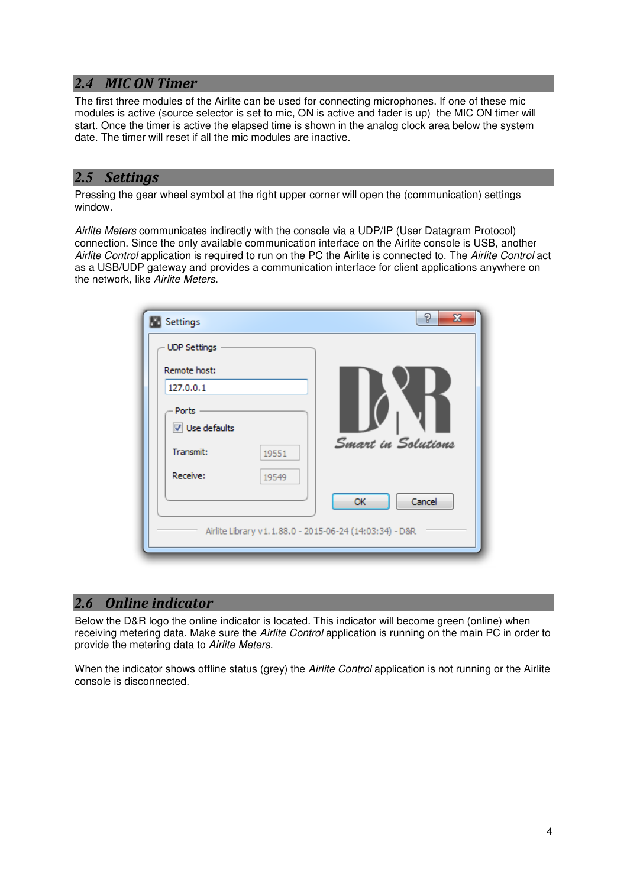## *2.4* MIC ON Timer

The first three modules of the Airlite can be used for connecting microphones. If one of these mic modules is active (source selector is set to mic, ON is active and fader is up) the MIC ON timer will start. Once the timer is active the elapsed time is shown in the analog clock area below the system date. The timer will reset if all the mic modules are inactive.

#### *2.5* Settings

Pressing the gear wheel symbol at the right upper corner will open the (communication) settings window.

Airlite Meters communicates indirectly with the console via a UDP/IP (User Datagram Protocol) connection. Since the only available communication interface on the Airlite console is USB, another Airlite Control application is required to run on the PC the Airlite is connected to. The Airlite Control act as a USB/UDP gateway and provides a communication interface for client applications anywhere on the network, like Airlite Meters.

| Settings                                                | P<br>$\mathbf{x}$  |
|---------------------------------------------------------|--------------------|
| <b>UDP Settings</b>                                     |                    |
| Remote host:                                            |                    |
| 127.0.0.1                                               |                    |
| Ports                                                   |                    |
| Use defaults                                            |                    |
| Transmit:<br>19551                                      | Smart in Solutions |
| Receive:<br>19549                                       |                    |
|                                                         | Cancel<br>OK       |
| Airlite Library v1.1.88.0 - 2015-06-24 (14:03:34) - D&R |                    |

### *2.6* Online indicator

Below the D&R logo the online indicator is located. This indicator will become green (online) when receiving metering data. Make sure the Airlite Control application is running on the main PC in order to provide the metering data to Airlite Meters.

When the indicator shows offline status (grey) the Airlite Control application is not running or the Airlite console is disconnected.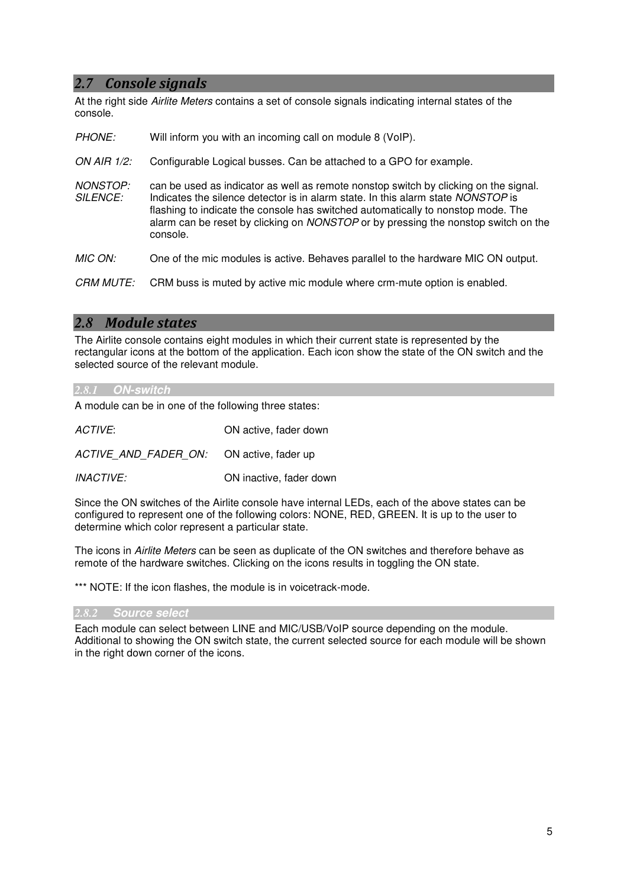#### *2.7* Console signals

At the right side Airlite Meters contains a set of console signals indicating internal states of the console.

| <b>PHONE:</b>               | Will inform you with an incoming call on module 8 (VoIP).                                                                                                                                                                                                                                                                                                      |
|-----------------------------|----------------------------------------------------------------------------------------------------------------------------------------------------------------------------------------------------------------------------------------------------------------------------------------------------------------------------------------------------------------|
| ON AIR 1/2:                 | Configurable Logical busses. Can be attached to a GPO for example.                                                                                                                                                                                                                                                                                             |
| NONSTOP:<br><b>SILENCE:</b> | can be used as indicator as well as remote nonstop switch by clicking on the signal.<br>Indicates the silence detector is in alarm state. In this alarm state NONSTOP is<br>flashing to indicate the console has switched automatically to nonstop mode. The<br>alarm can be reset by clicking on NONSTOP or by pressing the nonstop switch on the<br>console. |
| MIC ON:                     | One of the mic modules is active. Behaves parallel to the hardware MIC ON output.                                                                                                                                                                                                                                                                              |
| <b>CRM MUTE:</b>            | CRM buss is muted by active mic module where crm-mute option is enabled.                                                                                                                                                                                                                                                                                       |

#### *2.8* Module states

The Airlite console contains eight modules in which their current state is represented by the rectangular icons at the bottom of the application. Each icon show the state of the ON switch and the selected source of the relevant module.

#### *2.8.1* **ON-switch**

A module can be in one of the following three states:

| ACTIVE:                                  | ON active, fader down   |
|------------------------------------------|-------------------------|
| ACTIVE AND FADER ON: ON active, fader up |                         |
| <i><b>INACTIVE:</b></i>                  | ON inactive, fader down |

Since the ON switches of the Airlite console have internal LEDs, each of the above states can be configured to represent one of the following colors: NONE, RED, GREEN. It is up to the user to determine which color represent a particular state.

The icons in Airlite Meters can be seen as duplicate of the ON switches and therefore behave as remote of the hardware switches. Clicking on the icons results in toggling the ON state.

\*\*\* NOTE: If the icon flashes, the module is in voicetrack-mode.

#### *2.8.2* **Source select**

Each module can select between LINE and MIC/USB/VoIP source depending on the module. Additional to showing the ON switch state, the current selected source for each module will be shown in the right down corner of the icons.